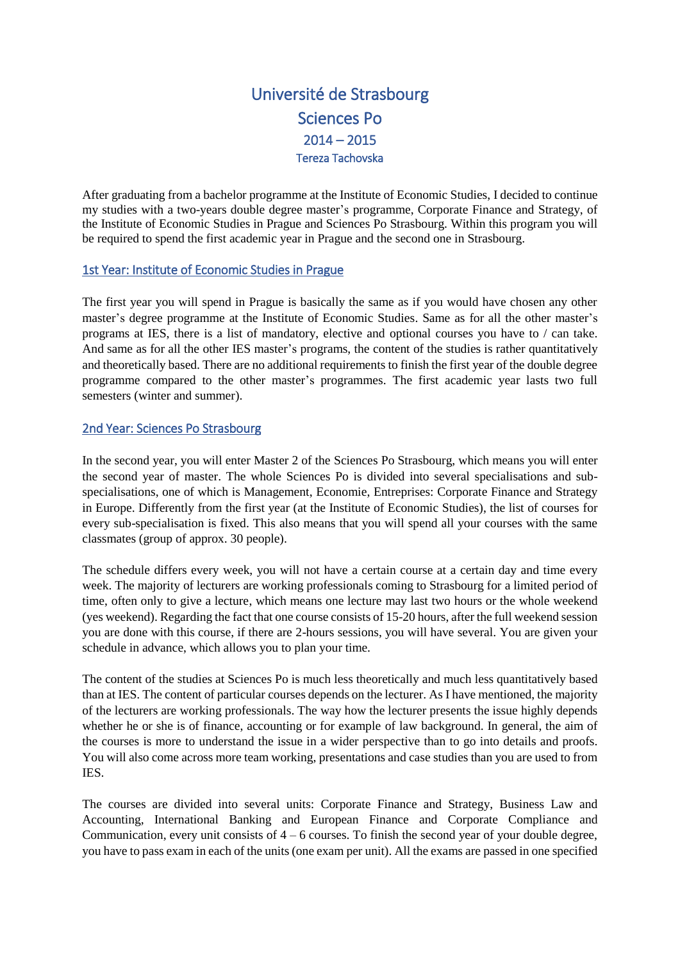# Université de Strasbourg Sciences Po  $2014 - 2015$ Tereza Tachovska

After graduating from a bachelor programme at the Institute of Economic Studies, I decided to continue my studies with a two-years double degree master's programme, Corporate Finance and Strategy, of the Institute of Economic Studies in Prague and Sciences Po Strasbourg. Within this program you will be required to spend the first academic year in Prague and the second one in Strasbourg.

### 1st Year: Institute of Economic Studies in Prague

The first year you will spend in Prague is basically the same as if you would have chosen any other master's degree programme at the Institute of Economic Studies. Same as for all the other master's programs at IES, there is a list of mandatory, elective and optional courses you have to / can take. And same as for all the other IES master's programs, the content of the studies is rather quantitatively and theoretically based. There are no additional requirements to finish the first year of the double degree programme compared to the other master's programmes. The first academic year lasts two full semesters (winter and summer).

## 2nd Year: Sciences Po Strasbourg

In the second year, you will enter Master 2 of the Sciences Po Strasbourg, which means you will enter the second year of master. The whole Sciences Po is divided into several specialisations and subspecialisations, one of which is Management, Economie, Entreprises: Corporate Finance and Strategy in Europe. Differently from the first year (at the Institute of Economic Studies), the list of courses for every sub-specialisation is fixed. This also means that you will spend all your courses with the same classmates (group of approx. 30 people).

The schedule differs every week, you will not have a certain course at a certain day and time every week. The majority of lecturers are working professionals coming to Strasbourg for a limited period of time, often only to give a lecture, which means one lecture may last two hours or the whole weekend (yes weekend). Regarding the fact that one course consists of 15-20 hours, after the full weekend session you are done with this course, if there are 2-hours sessions, you will have several. You are given your schedule in advance, which allows you to plan your time.

The content of the studies at Sciences Po is much less theoretically and much less quantitatively based than at IES. The content of particular courses depends on the lecturer. As I have mentioned, the majority of the lecturers are working professionals. The way how the lecturer presents the issue highly depends whether he or she is of finance, accounting or for example of law background. In general, the aim of the courses is more to understand the issue in a wider perspective than to go into details and proofs. You will also come across more team working, presentations and case studies than you are used to from IES.

The courses are divided into several units: Corporate Finance and Strategy, Business Law and Accounting, International Banking and European Finance and Corporate Compliance and Communication, every unit consists of  $4 - 6$  courses. To finish the second year of your double degree, you have to pass exam in each of the units (one exam per unit). All the exams are passed in one specified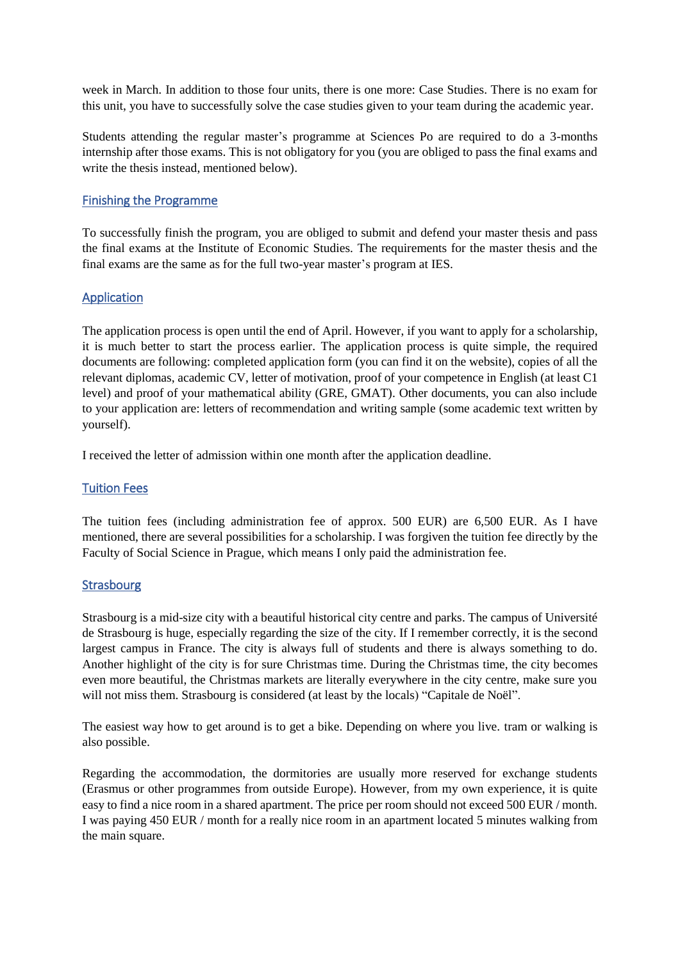week in March. In addition to those four units, there is one more: Case Studies. There is no exam for this unit, you have to successfully solve the case studies given to your team during the academic year.

Students attending the regular master's programme at Sciences Po are required to do a 3-months internship after those exams. This is not obligatory for you (you are obliged to pass the final exams and write the thesis instead, mentioned below).

### Finishing the Programme

To successfully finish the program, you are obliged to submit and defend your master thesis and pass the final exams at the Institute of Economic Studies. The requirements for the master thesis and the final exams are the same as for the full two-year master's program at IES.

### Application

The application process is open until the end of April. However, if you want to apply for a scholarship, it is much better to start the process earlier. The application process is quite simple, the required documents are following: completed application form (you can find it on the website), copies of all the relevant diplomas, academic CV, letter of motivation, proof of your competence in English (at least C1 level) and proof of your mathematical ability (GRE, GMAT). Other documents, you can also include to your application are: letters of recommendation and writing sample (some academic text written by yourself).

I received the letter of admission within one month after the application deadline.

#### Tuition Fees

The tuition fees (including administration fee of approx. 500 EUR) are 6,500 EUR. As I have mentioned, there are several possibilities for a scholarship. I was forgiven the tuition fee directly by the Faculty of Social Science in Prague, which means I only paid the administration fee.

#### Strasbourg

Strasbourg is a mid-size city with a beautiful historical city centre and parks. The campus of Université de Strasbourg is huge, especially regarding the size of the city. If I remember correctly, it is the second largest campus in France. The city is always full of students and there is always something to do. Another highlight of the city is for sure Christmas time. During the Christmas time, the city becomes even more beautiful, the Christmas markets are literally everywhere in the city centre, make sure you will not miss them. Strasbourg is considered (at least by the locals) "Capitale de Noël".

The easiest way how to get around is to get a bike. Depending on where you live. tram or walking is also possible.

Regarding the accommodation, the dormitories are usually more reserved for exchange students (Erasmus or other programmes from outside Europe). However, from my own experience, it is quite easy to find a nice room in a shared apartment. The price per room should not exceed 500 EUR / month. I was paying 450 EUR / month for a really nice room in an apartment located 5 minutes walking from the main square.